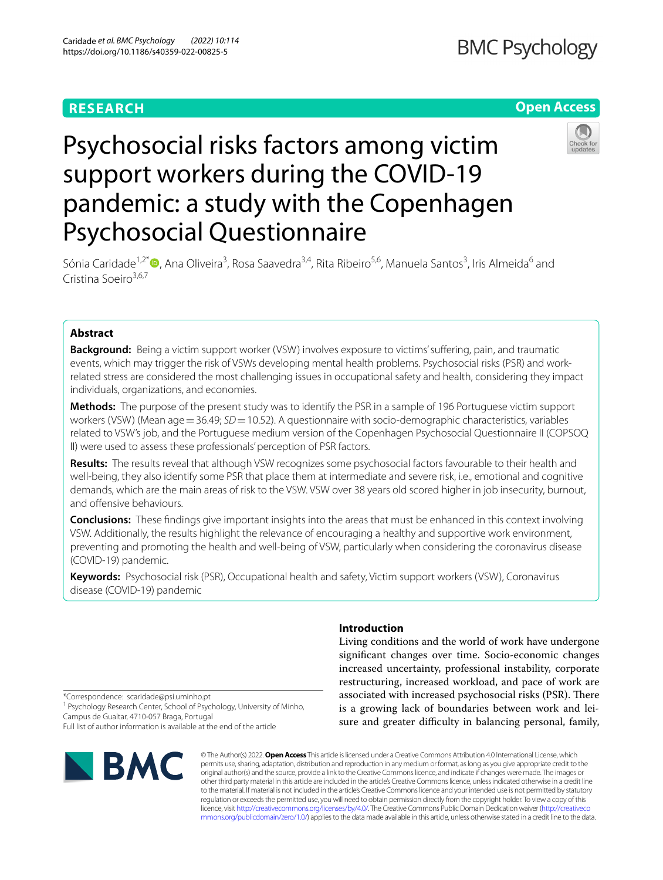# **RESEARCH**

# **Open Access**



# Psychosocial risks factors among victim support workers during the COVID-19 pandemic: a study with the Copenhagen Psychosocial Questionnaire

Sónia Caridade<sup>1[,](http://orcid.org/0000-0003-0387-7900)2\*</sup>®, Ana Oliveira<sup>3</sup>, Rosa Saavedra<sup>3,4</sup>, Rita Ribeiro<sup>5,6</sup>, Manuela Santos<sup>3</sup>, Iris Almeida<sup>6</sup> and Cristina Soeiro<sup>3,6,7</sup>

# **Abstract**

**Background:** Being a victim support worker (VSW) involves exposure to victims' sufering, pain, and traumatic events, which may trigger the risk of VSWs developing mental health problems. Psychosocial risks (PSR) and workrelated stress are considered the most challenging issues in occupational safety and health, considering they impact individuals, organizations, and economies.

**Methods:** The purpose of the present study was to identify the PSR in a sample of 196 Portuguese victim support workers (VSW) (Mean age = 36.49; *SD* = 10.52). A questionnaire with socio-demographic characteristics, variables related to VSW's job, and the Portuguese medium version of the Copenhagen Psychosocial Questionnaire II (COPSOQ II) were used to assess these professionals' perception of PSR factors.

**Results:** The results reveal that although VSW recognizes some psychosocial factors favourable to their health and well-being, they also identify some PSR that place them at intermediate and severe risk, i.e., emotional and cognitive demands, which are the main areas of risk to the VSW. VSW over 38 years old scored higher in job insecurity, burnout, and offensive behaviours.

**Conclusions:** These fndings give important insights into the areas that must be enhanced in this context involving VSW. Additionally, the results highlight the relevance of encouraging a healthy and supportive work environment, preventing and promoting the health and well-being of VSW, particularly when considering the coronavirus disease (COVID-19) pandemic.

**Keywords:** Psychosocial risk (PSR), Occupational health and safety, Victim support workers (VSW), Coronavirus disease (COVID-19) pandemic

# **Introduction**

Living conditions and the world of work have undergone signifcant changes over time. Socio-economic changes increased uncertainty, professional instability, corporate restructuring, increased workload, and pace of work are associated with increased psychosocial risks (PSR). There is a growing lack of boundaries between work and leisure and greater difficulty in balancing personal, family,

\*Correspondence: scaridade@psi.uminho.pt

<sup>1</sup> Psychology Research Center, School of Psychology, University of Minho, Campus de Gualtar, 4710-057 Braga, Portugal Full list of author information is available at the end of the article



© The Author(s) 2022. **Open Access** This article is licensed under a Creative Commons Attribution 4.0 International License, which permits use, sharing, adaptation, distribution and reproduction in any medium or format, as long as you give appropriate credit to the original author(s) and the source, provide a link to the Creative Commons licence, and indicate if changes were made. The images or other third party material in this article are included in the article's Creative Commons licence, unless indicated otherwise in a credit line to the material. If material is not included in the article's Creative Commons licence and your intended use is not permitted by statutory regulation or exceeds the permitted use, you will need to obtain permission directly from the copyright holder. To view a copy of this licence, visit [http://creativecommons.org/licenses/by/4.0/.](http://creativecommons.org/licenses/by/4.0/) The Creative Commons Public Domain Dedication waiver ([http://creativeco](http://creativecommons.org/publicdomain/zero/1.0/) [mmons.org/publicdomain/zero/1.0/](http://creativecommons.org/publicdomain/zero/1.0/)) applies to the data made available in this article, unless otherwise stated in a credit line to the data.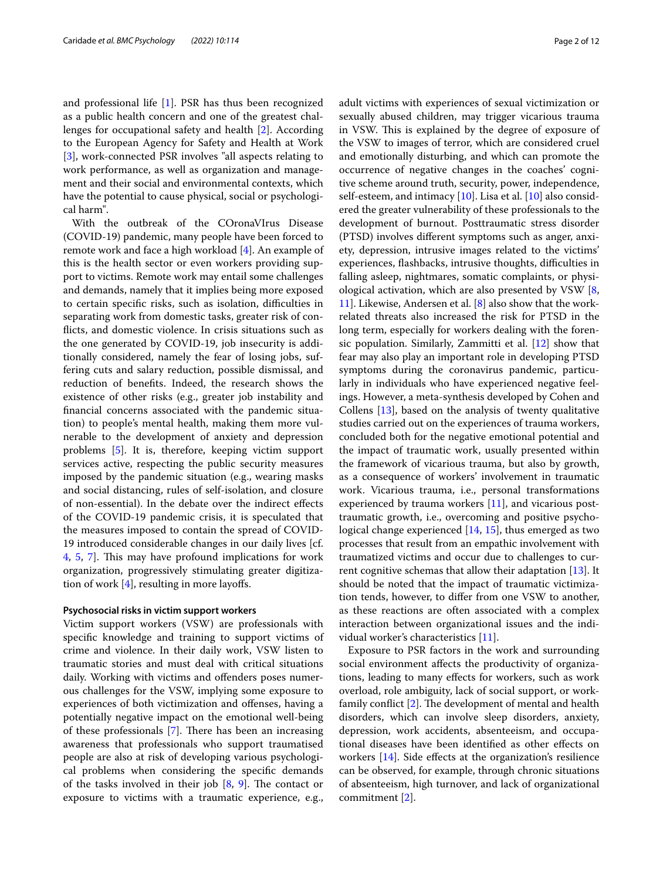and professional life [\[1](#page-10-0)]. PSR has thus been recognized as a public health concern and one of the greatest challenges for occupational safety and health [\[2](#page-10-1)]. According to the European Agency for Safety and Health at Work [[3\]](#page-10-2), work-connected PSR involves "all aspects relating to work performance, as well as organization and management and their social and environmental contexts, which have the potential to cause physical, social or psychological harm".

With the outbreak of the COronaVIrus Disease (COVID-19) pandemic, many people have been forced to remote work and face a high workload [[4](#page-10-3)]. An example of this is the health sector or even workers providing support to victims. Remote work may entail some challenges and demands, namely that it implies being more exposed to certain specific risks, such as isolation, difficulties in separating work from domestic tasks, greater risk of conficts, and domestic violence. In crisis situations such as the one generated by COVID-19, job insecurity is additionally considered, namely the fear of losing jobs, suffering cuts and salary reduction, possible dismissal, and reduction of benefts. Indeed, the research shows the existence of other risks (e.g., greater job instability and fnancial concerns associated with the pandemic situation) to people's mental health, making them more vulnerable to the development of anxiety and depression problems [[5](#page-10-4)]. It is, therefore, keeping victim support services active, respecting the public security measures imposed by the pandemic situation (e.g., wearing masks and social distancing, rules of self-isolation, and closure of non-essential). In the debate over the indirect efects of the COVID-19 pandemic crisis, it is speculated that the measures imposed to contain the spread of COVID-19 introduced considerable changes in our daily lives [cf. [4,](#page-10-3) [5,](#page-10-4) [7\]](#page-10-5). This may have profound implications for work organization, progressively stimulating greater digitization of work  $[4]$ , resulting in more layoffs.

#### **Psychosocial risks in victim support workers**

Victim support workers (VSW) are professionals with specifc knowledge and training to support victims of crime and violence. In their daily work, VSW listen to traumatic stories and must deal with critical situations daily. Working with victims and ofenders poses numerous challenges for the VSW, implying some exposure to experiences of both victimization and ofenses, having a potentially negative impact on the emotional well-being of these professionals  $[7]$  $[7]$ . There has been an increasing awareness that professionals who support traumatised people are also at risk of developing various psychological problems when considering the specifc demands of the tasks involved in their job  $[8, 9]$  $[8, 9]$  $[8, 9]$  $[8, 9]$ . The contact or exposure to victims with a traumatic experience, e.g., adult victims with experiences of sexual victimization or sexually abused children, may trigger vicarious trauma in VSW. This is explained by the degree of exposure of the VSW to images of terror, which are considered cruel and emotionally disturbing, and which can promote the occurrence of negative changes in the coaches' cognitive scheme around truth, security, power, independence, self-esteem, and intimacy [[10\]](#page-10-8). Lisa et al. [[10\]](#page-10-8) also considered the greater vulnerability of these professionals to the development of burnout. Posttraumatic stress disorder (PTSD) involves diferent symptoms such as anger, anxiety, depression, intrusive images related to the victims' experiences, flashbacks, intrusive thoughts, difficulties in falling asleep, nightmares, somatic complaints, or physiological activation, which are also presented by VSW [\[8](#page-10-6), [11\]](#page-10-9). Likewise, Andersen et al. [[8\]](#page-10-6) also show that the workrelated threats also increased the risk for PTSD in the long term, especially for workers dealing with the forensic population. Similarly, Zammitti et al. [\[12\]](#page-10-10) show that fear may also play an important role in developing PTSD symptoms during the coronavirus pandemic, particularly in individuals who have experienced negative feelings. However, a meta-synthesis developed by Cohen and Collens [\[13\]](#page-10-11), based on the analysis of twenty qualitative studies carried out on the experiences of trauma workers, concluded both for the negative emotional potential and the impact of traumatic work, usually presented within the framework of vicarious trauma, but also by growth, as a consequence of workers' involvement in traumatic work. Vicarious trauma, i.e., personal transformations experienced by trauma workers [\[11\]](#page-10-9), and vicarious posttraumatic growth, i.e., overcoming and positive psychological change experienced [\[14,](#page-10-12) [15\]](#page-10-13), thus emerged as two processes that result from an empathic involvement with traumatized victims and occur due to challenges to current cognitive schemas that allow their adaptation [[13](#page-10-11)]. It should be noted that the impact of traumatic victimization tends, however, to difer from one VSW to another, as these reactions are often associated with a complex interaction between organizational issues and the individual worker's characteristics [\[11](#page-10-9)].

Exposure to PSR factors in the work and surrounding social environment affects the productivity of organizations, leading to many efects for workers, such as work overload, role ambiguity, lack of social support, or workfamily conflict  $[2]$  $[2]$ . The development of mental and health disorders, which can involve sleep disorders, anxiety, depression, work accidents, absenteeism, and occupational diseases have been identifed as other efects on workers [[14\]](#page-10-12). Side effects at the organization's resilience can be observed, for example, through chronic situations of absenteeism, high turnover, and lack of organizational commitment [\[2](#page-10-1)].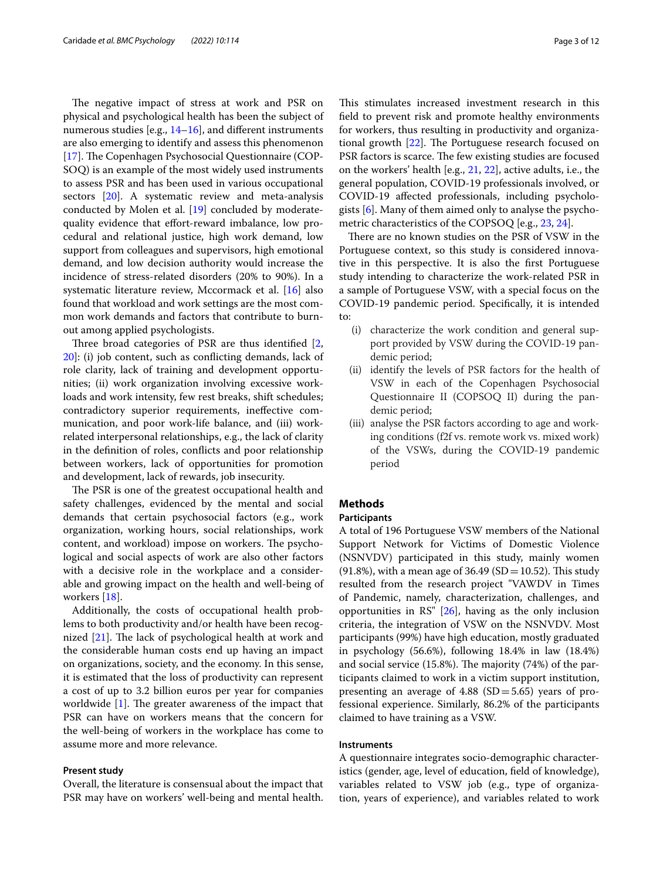The negative impact of stress at work and PSR on physical and psychological health has been the subject of numerous studies [e.g., [14–](#page-10-12)[16](#page-10-14)], and different instruments are also emerging to identify and assess this phenomenon [[17\]](#page-10-15). The Copenhagen Psychosocial Questionnaire (COP-SOQ) is an example of the most widely used instruments to assess PSR and has been used in various occupational sectors [\[20\]](#page-10-16). A systematic review and meta-analysis conducted by Molen et al. [[19\]](#page-10-17) concluded by moderatequality evidence that effort-reward imbalance, low procedural and relational justice, high work demand, low support from colleagues and supervisors, high emotional demand, and low decision authority would increase the incidence of stress-related disorders (20% to 90%). In a systematic literature review, Mccormack et al. [[16\]](#page-10-14) also found that workload and work settings are the most common work demands and factors that contribute to burnout among applied psychologists.

Three broad categories of PSR are thus identified [\[2](#page-10-1), [20\]](#page-10-16): (i) job content, such as conficting demands, lack of role clarity, lack of training and development opportunities; (ii) work organization involving excessive workloads and work intensity, few rest breaks, shift schedules; contradictory superior requirements, inefective communication, and poor work-life balance, and (iii) workrelated interpersonal relationships, e.g., the lack of clarity in the defnition of roles, conficts and poor relationship between workers, lack of opportunities for promotion and development, lack of rewards, job insecurity.

The PSR is one of the greatest occupational health and safety challenges, evidenced by the mental and social demands that certain psychosocial factors (e.g., work organization, working hours, social relationships, work content, and workload) impose on workers. The psychological and social aspects of work are also other factors with a decisive role in the workplace and a considerable and growing impact on the health and well-being of workers [[18\]](#page-10-18).

Additionally, the costs of occupational health problems to both productivity and/or health have been recognized  $[21]$  $[21]$  $[21]$ . The lack of psychological health at work and the considerable human costs end up having an impact on organizations, society, and the economy. In this sense, it is estimated that the loss of productivity can represent a cost of up to 3.2 billion euros per year for companies worldwide  $[1]$  $[1]$ . The greater awareness of the impact that PSR can have on workers means that the concern for the well-being of workers in the workplace has come to assume more and more relevance.

# **Present study**

Overall, the literature is consensual about the impact that PSR may have on workers' well-being and mental health.

This stimulates increased investment research in this feld to prevent risk and promote healthy environments for workers, thus resulting in productivity and organizational growth  $[22]$  $[22]$ . The Portuguese research focused on PSR factors is scarce. The few existing studies are focused on the workers' health [e.g., [21](#page-10-19), [22\]](#page-10-20), active adults, i.e., the general population, COVID-19 professionals involved, or COVID-19 afected professionals, including psychologists [[6\]](#page-10-21). Many of them aimed only to analyse the psychometric characteristics of the COPSOQ [e.g., [23,](#page-10-22) [24\]](#page-10-23).

There are no known studies on the PSR of VSW in the Portuguese context, so this study is considered innovative in this perspective. It is also the frst Portuguese study intending to characterize the work-related PSR in a sample of Portuguese VSW, with a special focus on the COVID-19 pandemic period. Specifcally, it is intended to:

- (i) characterize the work condition and general support provided by VSW during the COVID-19 pandemic period;
- (ii) identify the levels of PSR factors for the health of VSW in each of the Copenhagen Psychosocial Questionnaire II (COPSOQ II) during the pandemic period;
- (iii) analyse the PSR factors according to age and working conditions (f2f vs. remote work vs. mixed work) of the VSWs, during the COVID-19 pandemic period

# **Methods**

# **Participants**

A total of 196 Portuguese VSW members of the National Support Network for Victims of Domestic Violence (NSNVDV) participated in this study, mainly women (91.8%), with a mean age of 36.49 (SD = 10.52). This study resulted from the research project "VAWDV in Times of Pandemic, namely, characterization, challenges, and opportunities in RS" [[26](#page-10-24)], having as the only inclusion criteria, the integration of VSW on the NSNVDV. Most participants (99%) have high education, mostly graduated in psychology (56.6%), following 18.4% in law (18.4%) and social service  $(15.8\%)$ . The majority  $(74\%)$  of the participants claimed to work in a victim support institution, presenting an average of  $4.88$  (SD=5.65) years of professional experience. Similarly, 86.2% of the participants claimed to have training as a VSW.

#### **Instruments**

A questionnaire integrates socio-demographic characteristics (gender, age, level of education, feld of knowledge), variables related to VSW job (e.g., type of organization, years of experience), and variables related to work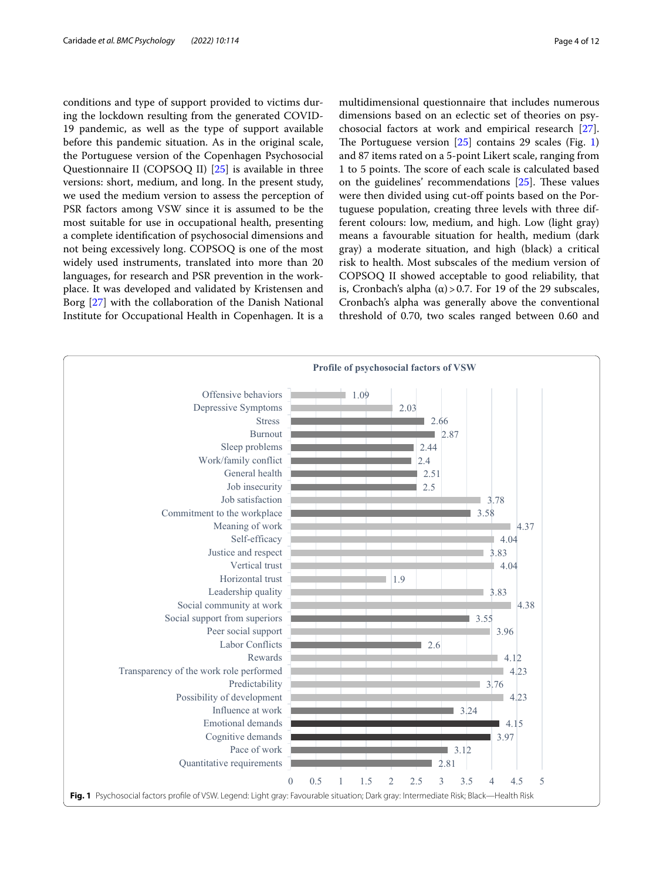conditions and type of support provided to victims during the lockdown resulting from the generated COVID-19 pandemic, as well as the type of support available before this pandemic situation. As in the original scale, the Portuguese version of the Copenhagen Psychosocial Questionnaire II (COPSOQ II) [[25\]](#page-10-25) is available in three versions: short, medium, and long. In the present study, we used the medium version to assess the perception of PSR factors among VSW since it is assumed to be the most suitable for use in occupational health, presenting a complete identifcation of psychosocial dimensions and not being excessively long. COPSOQ is one of the most widely used instruments, translated into more than 20 languages, for research and PSR prevention in the workplace. It was developed and validated by Kristensen and Borg [[27\]](#page-11-0) with the collaboration of the Danish National Institute for Occupational Health in Copenhagen. It is a multidimensional questionnaire that includes numerous dimensions based on an eclectic set of theories on psychosocial factors at work and empirical research [\[27](#page-11-0)]. The Portuguese version  $[25]$  contains 29 scales (Fig. [1](#page-3-0)) and 87 items rated on a 5-point Likert scale, ranging from 1 to 5 points. The score of each scale is calculated based on the guidelines' recommendations  $[25]$  $[25]$ . These values were then divided using cut-off points based on the Portuguese population, creating three levels with three different colours: low, medium, and high. Low (light gray) means a favourable situation for health, medium (dark gray) a moderate situation, and high (black) a critical risk to health. Most subscales of the medium version of COPSOQ II showed acceptable to good reliability, that is, Cronbach's alpha (α) > 0.7. For 19 of the 29 subscales, Cronbach's alpha was generally above the conventional threshold of 0.70, two scales ranged between 0.60 and

<span id="page-3-0"></span>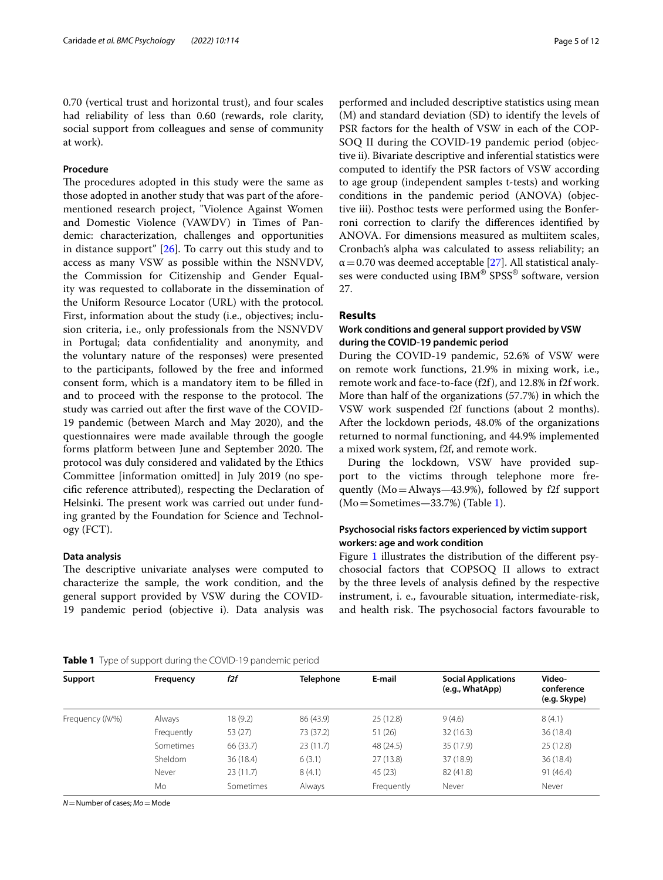0.70 (vertical trust and horizontal trust), and four scales had reliability of less than 0.60 (rewards, role clarity, social support from colleagues and sense of community at work).

# **Procedure**

The procedures adopted in this study were the same as those adopted in another study that was part of the aforementioned research project, "Violence Against Women and Domestic Violence (VAWDV) in Times of Pandemic: characterization, challenges and opportunities in distance support" [[26\]](#page-10-24). To carry out this study and to access as many VSW as possible within the NSNVDV, the Commission for Citizenship and Gender Equality was requested to collaborate in the dissemination of the Uniform Resource Locator (URL) with the protocol. First, information about the study (i.e., objectives; inclusion criteria, i.e., only professionals from the NSNVDV in Portugal; data confdentiality and anonymity, and the voluntary nature of the responses) were presented to the participants, followed by the free and informed consent form, which is a mandatory item to be flled in and to proceed with the response to the protocol. The study was carried out after the frst wave of the COVID-19 pandemic (between March and May 2020), and the questionnaires were made available through the google forms platform between June and September 2020. The protocol was duly considered and validated by the Ethics Committee [information omitted] in July 2019 (no specifc reference attributed), respecting the Declaration of Helsinki. The present work was carried out under funding granted by the Foundation for Science and Technology (FCT).

# **Data analysis**

The descriptive univariate analyses were computed to characterize the sample, the work condition, and the general support provided by VSW during the COVID-19 pandemic period (objective i). Data analysis was performed and included descriptive statistics using mean (M) and standard deviation (SD) to identify the levels of PSR factors for the health of VSW in each of the COP-SOQ II during the COVID-19 pandemic period (objective ii). Bivariate descriptive and inferential statistics were computed to identify the PSR factors of VSW according to age group (independent samples t-tests) and working conditions in the pandemic period (ANOVA) (objective iii). Posthoc tests were performed using the Bonferroni correction to clarify the diferences identifed by ANOVA. For dimensions measured as multiitem scales, Cronbach's alpha was calculated to assess reliability; an  $\alpha$  = 0.70 was deemed acceptable [\[27](#page-11-0)]. All statistical analyses were conducted using IBM® SPSS® software, version 27.

# **Results**

# **Work conditions and general support provided by VSW during the COVID‑19 pandemic period**

During the COVID-19 pandemic, 52.6% of VSW were on remote work functions, 21.9% in mixing work, i.e., remote work and face-to-face (f2f), and 12.8% in f2f work. More than half of the organizations (57.7%) in which the VSW work suspended f2f functions (about 2 months). After the lockdown periods, 48.0% of the organizations returned to normal functioning, and 44.9% implemented a mixed work system, f2f, and remote work.

During the lockdown, VSW have provided support to the victims through telephone more frequently (Mo=Always—43.9%), followed by f2f support (Mo=Sometimes—33.7%) (Table [1](#page-4-0)).

# **Psychosocial risks factors experienced by victim support workers: age and work condition**

Figure [1](#page-3-0) illustrates the distribution of the different psychosocial factors that COPSOQ II allows to extract by the three levels of analysis defned by the respective instrument, i. e., favourable situation, intermediate-risk, and health risk. The psychosocial factors favourable to

## <span id="page-4-0"></span>**Table 1** Type of support during the COVID-19 pandemic period

**Support Frequency** *f2f* **Telephone E-mail Social Applications (e.g., WhatApp) Videoconference (e.g. Skype)** Frequency (*N/*%) Always 18 (9.2) 86 (43.9) 25 (12.8) 9 (4.6) 8 (4.1) Frequently 53 (27) 73 (37.2) 51 (26) 32 (16.3) 36 (18.4) Sometimes 66 (33.7) 23 (11.7) 48 (24.5) 35 (17.9) 25 (12.8) Sheldom 36 (18.4) 6 (3.1) 27 (13.8) 37 (18.9) 36 (18.4) Never 23 (11.7) 8 (4.1) 45 (23) 82 (41.8) 91 (46.4) Mo Sometimes Always Frequently Never Never

*N*=Number of cases; *Mo*=Mode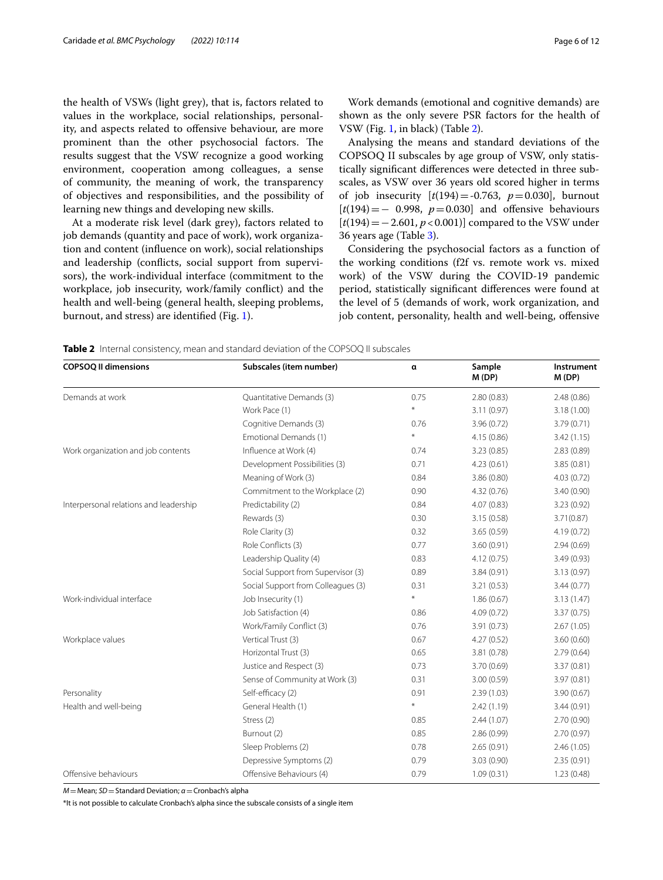the health of VSWs (light grey), that is, factors related to values in the workplace, social relationships, personality, and aspects related to offensive behaviour, are more prominent than the other psychosocial factors. The results suggest that the VSW recognize a good working environment, cooperation among colleagues, a sense of community, the meaning of work, the transparency of objectives and responsibilities, and the possibility of learning new things and developing new skills.

At a moderate risk level (dark grey), factors related to job demands (quantity and pace of work), work organization and content (infuence on work), social relationships and leadership (conficts, social support from supervisors), the work-individual interface (commitment to the workplace, job insecurity, work/family confict) and the health and well-being (general health, sleeping problems, burnout, and stress) are identifed (Fig. [1](#page-3-0)).

Work demands (emotional and cognitive demands) are shown as the only severe PSR factors for the health of VSW (Fig. [1](#page-3-0), in black) (Table [2\)](#page-5-0).

Analysing the means and standard deviations of the COPSOQ II subscales by age group of VSW, only statistically signifcant diferences were detected in three subscales, as VSW over 36 years old scored higher in terms of job insecurity  $[t(194) = -0.763, p = 0.030]$ , burnout [*t*(194)=− 0.998, *p*=0.030] and ofensive behaviours [*t*(194)=−2.601, *p*<0.001)] compared to the VSW under 36 years age (Table [3\)](#page-6-0).

Considering the psychosocial factors as a function of the working conditions (f2f vs. remote work vs. mixed work) of the VSW during the COVID-19 pandemic period, statistically signifcant diferences were found at the level of 5 (demands of work, work organization, and job content, personality, health and well-being, ofensive

<span id="page-5-0"></span>

| <b>COPSOQ II dimensions</b>            | Subscales (item number)            | α       | Sample<br>M(DP) | Instrument<br>M(DP) |
|----------------------------------------|------------------------------------|---------|-----------------|---------------------|
| Demands at work                        | Quantitative Demands (3)           | 0.75    | 2.80(0.83)      | 2.48(0.86)          |
|                                        | Work Pace (1)                      | $\star$ | 3.11(0.97)      | 3.18(1.00)          |
|                                        | Cognitive Demands (3)              | 0.76    | 3.96(0.72)      | 3.79(0.71)          |
|                                        | Emotional Demands (1)              | $\star$ | 4.15(0.86)      | 3.42 (1.15)         |
| Work organization and job contents     | Influence at Work (4)              | 0.74    | 3.23(0.85)      | 2.83 (0.89)         |
|                                        | Development Possibilities (3)      | 0.71    | 4.23(0.61)      | 3.85(0.81)          |
|                                        | Meaning of Work (3)                | 0.84    | 3.86(0.80)      | 4.03(0.72)          |
|                                        | Commitment to the Workplace (2)    | 0.90    | 4.32(0.76)      | 3.40(0.90)          |
| Interpersonal relations and leadership | Predictability (2)                 | 0.84    | 4.07(0.83)      | 3.23(0.92)          |
|                                        | Rewards (3)                        | 0.30    | 3.15(0.58)      | 3.71(0.87)          |
|                                        | Role Clarity (3)                   | 0.32    | 3.65(0.59)      | 4.19(0.72)          |
|                                        | Role Conflicts (3)                 | 0.77    | 3.60(0.91)      | 2.94(0.69)          |
|                                        | Leadership Quality (4)             | 0.83    | 4.12(0.75)      | 3.49(0.93)          |
|                                        | Social Support from Supervisor (3) | 0.89    | 3.84(0.91)      | 3.13(0.97)          |
|                                        | Social Support from Colleagues (3) | 0.31    | 3.21(0.53)      | 3.44(0.77)          |
| Work-individual interface              | Job Insecurity (1)                 | $\ast$  | 1.86(0.67)      | 3.13(1.47)          |
|                                        | Job Satisfaction (4)               | 0.86    | 4.09(0.72)      | 3.37(0.75)          |
|                                        | Work/Family Conflict (3)           | 0.76    | 3.91(0.73)      | 2.67(1.05)          |
| Workplace values                       | Vertical Trust (3)                 | 0.67    | 4.27(0.52)      | 3.60(0.60)          |
|                                        | Horizontal Trust (3)               | 0.65    | 3.81(0.78)      | 2.79(0.64)          |
|                                        | Justice and Respect (3)            | 0.73    | 3.70(0.69)      | 3.37 (0.81)         |
|                                        | Sense of Community at Work (3)     | 0.31    | 3.00(0.59)      | 3.97(0.81)          |
| Personality                            | Self-efficacy (2)                  | 0.91    | 2.39(1.03)      | 3.90(0.67)          |
| Health and well-being                  | General Health (1)                 | $\ast$  | 2.42(1.19)      | 3.44(0.91)          |
|                                        | Stress (2)                         | 0.85    | 2.44(1.07)      | 2.70(0.90)          |
|                                        | Burnout (2)                        | 0.85    | 2.86(0.99)      | 2.70(0.97)          |
|                                        | Sleep Problems (2)                 | 0.78    | 2.65(0.91)      | 2.46(1.05)          |
|                                        | Depressive Symptoms (2)            | 0.79    | 3.03(0.90)      | 2.35(0.91)          |
| Offensive behaviours                   | Offensive Behaviours (4)           | 0.79    | 1.09(0.31)      | 1.23(0.48)          |

*M*=Mean; *SD*=Standard Deviation; *α*=Cronbach's alpha

\*It is not possible to calculate Cronbach's alpha since the subscale consists of a single item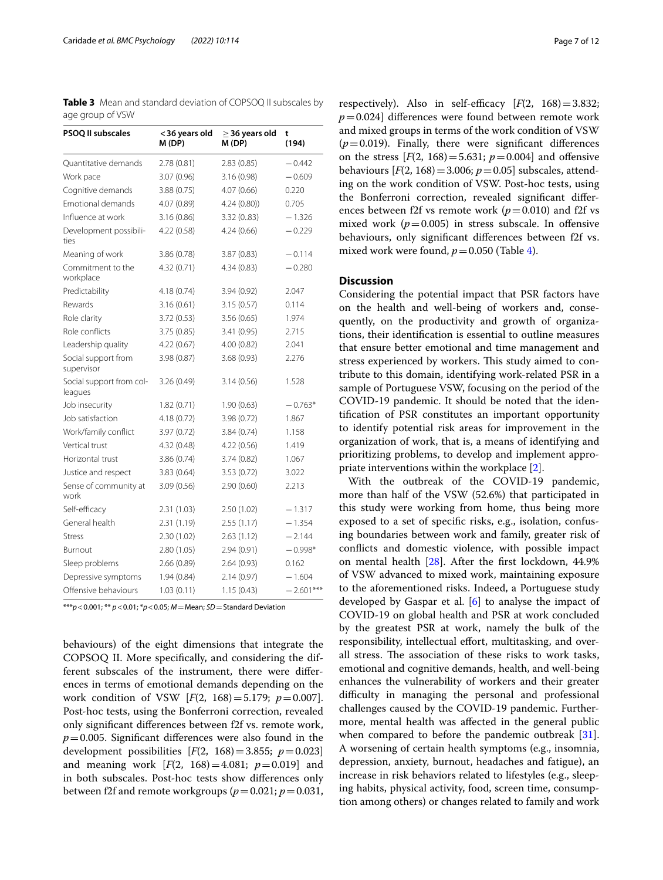<span id="page-6-0"></span>**Table 3** Mean and standard deviation of COPSOQ II subscales by age group of VSW

| <b>PSOQ II subscales</b>            | < 36 years old<br>M(DP) | $\geq$ 36 years old<br>M(DP) | t<br>(194)  |  |
|-------------------------------------|-------------------------|------------------------------|-------------|--|
| Quantitative demands                | 2.78(0.81)              | 2.83(0.85)                   | $-0.442$    |  |
| Work pace                           | 3.07(0.96)              | 3.16 (0.98)                  | $-0.609$    |  |
| Cognitive demands                   | 3.88 (0.75)             | 4.07 (0.66)                  | 0.220       |  |
| Emotional demands                   | 4.07 (0.89)             | 4.24(0.80)                   | 0.705       |  |
| Influence at work                   | 3.16(0.86)              | 3.32(0.83)                   | $-1.326$    |  |
| Development possibili-<br>ties      | 4.22 (0.58)             | 4.24(0.66)                   | $-0.229$    |  |
| Meaning of work                     | 3.86 (0.78)             | 3.87(0.83)                   | $-0.114$    |  |
| Commitment to the<br>workplace      | 4.32 (0.71)             | 4.34 (0.83)                  | $-0.280$    |  |
| Predictability                      | 4.18 (0.74)             | 3.94 (0.92)                  | 2.047       |  |
| Rewards                             | 3.16(0.61)              | 3.15(0.57)                   | 0.114       |  |
| Role clarity                        | 3.72(0.53)              | 3.56(0.65)                   | 1.974       |  |
| Role conflicts                      | 3.75(0.85)              | 3.41(0.95)                   | 2.715       |  |
| Leadership quality                  | 4.22(0.67)              | 4.00 (0.82)                  | 2.041       |  |
| Social support from<br>supervisor   | 3.98 (0.87)             | 3.68 (0.93)                  | 2.276       |  |
| Social support from col-<br>leagues | 3.26(0.49)              | 3.14(0.56)                   | 1.528       |  |
| Job insecurity                      | 1.82(0.71)              | 1.90(0.63)                   | $-0.763*$   |  |
| Job satisfaction                    | 4.18 (0.72)             | 3.98 (0.72)                  | 1.867       |  |
| Work/family conflict                | 3.97 (0.72)             | 3.84 (0.74)                  | 1.158       |  |
| Vertical trust                      | 4.32 (0.48)             | 4.22(0.56)                   | 1.419       |  |
| Horizontal trust                    | 3.86 (0.74)             | 3.74(0.82)                   | 1.067       |  |
| Justice and respect                 | 3.83 (0.64)             | 3.53(0.72)                   | 3.022       |  |
| Sense of community at<br>work       | 3.09(0.56)              | 2.90 (0.60)                  | 2.213       |  |
| Self-efficacy                       | 2.31(1.03)              | 2.50 (1.02)                  | $-1.317$    |  |
| General health                      | 2.31(1.19)              | 2.55(1.17)                   | $-1.354$    |  |
| <b>Stress</b>                       | 2.30 (1.02)             | 2.63(1.12)                   | $-2.144$    |  |
| Burnout                             | 2.80(1.05)              | 2.94 (0.91)                  | $-0.998*$   |  |
| Sleep problems                      | 2.66 (0.89)             | 2.64 (0.93)                  | 0.162       |  |
| Depressive symptoms                 | 1.94(0.84)              | 2.14(0.97)                   | $-1.604$    |  |
| Offensive behaviours                | 1.03(0.11)              | 1.15(0.43)                   | $-2.601***$ |  |

\*\*\**p*<0.001; \*\* *p*<0.01; \**p*<0.05; *M*=Mean; *SD*=Standard Deviation

behaviours) of the eight dimensions that integrate the COPSOQ II. More specifcally, and considering the different subscales of the instrument, there were diferences in terms of emotional demands depending on the work condition of VSW [*F*(2, 168)=5.179; *p*=0.007]. Post-hoc tests, using the Bonferroni correction, revealed only signifcant diferences between f2f vs. remote work,  $p=0.005$ . Significant differences were also found in the development possibilities  $[F(2, 168) = 3.855; p = 0.023]$ and meaning work  $[F(2, 168) = 4.081; p = 0.019]$  and in both subscales. Post-hoc tests show diferences only between f2f and remote workgroups  $(p=0.021; p=0.031,$ 

respectively). Also in self-efficacy  $[F(2, 168) = 3.832;$  $p=0.024$ ] differences were found between remote work and mixed groups in terms of the work condition of VSW  $(p=0.019)$ . Finally, there were significant differences on the stress  $[F(2, 168) = 5.631; p = 0.004]$  and offensive behaviours  $[F(2, 168) = 3.006; p = 0.05]$  subscales, attending on the work condition of VSW. Post-hoc tests, using the Bonferroni correction, revealed signifcant diferences between f2f vs remote work ( $p = 0.010$ ) and f2f vs mixed work  $(p=0.005)$  in stress subscale. In offensive behaviours, only signifcant diferences between f2f vs. mixed work were found,  $p = 0.050$  (Table [4](#page-7-0)).

## **Discussion**

Considering the potential impact that PSR factors have on the health and well-being of workers and, consequently, on the productivity and growth of organizations, their identifcation is essential to outline measures that ensure better emotional and time management and stress experienced by workers. This study aimed to contribute to this domain, identifying work-related PSR in a sample of Portuguese VSW, focusing on the period of the COVID-19 pandemic. It should be noted that the identifcation of PSR constitutes an important opportunity to identify potential risk areas for improvement in the organization of work, that is, a means of identifying and prioritizing problems, to develop and implement appropriate interventions within the workplace [[2\]](#page-10-1).

With the outbreak of the COVID-19 pandemic, more than half of the VSW (52.6%) that participated in this study were working from home, thus being more exposed to a set of specifc risks, e.g., isolation, confusing boundaries between work and family, greater risk of conficts and domestic violence, with possible impact on mental health [\[28](#page-11-1)]. After the frst lockdown, 44.9% of VSW advanced to mixed work, maintaining exposure to the aforementioned risks. Indeed, a Portuguese study developed by Gaspar et al.  $[6]$  $[6]$  to analyse the impact of COVID-19 on global health and PSR at work concluded by the greatest PSR at work, namely the bulk of the responsibility, intellectual effort, multitasking, and overall stress. The association of these risks to work tasks, emotional and cognitive demands, health, and well-being enhances the vulnerability of workers and their greater difficulty in managing the personal and professional challenges caused by the COVID-19 pandemic. Furthermore, mental health was afected in the general public when compared to before the pandemic outbreak [\[31](#page-11-2)]. A worsening of certain health symptoms (e.g., insomnia, depression, anxiety, burnout, headaches and fatigue), an increase in risk behaviors related to lifestyles (e.g., sleeping habits, physical activity, food, screen time, consumption among others) or changes related to family and work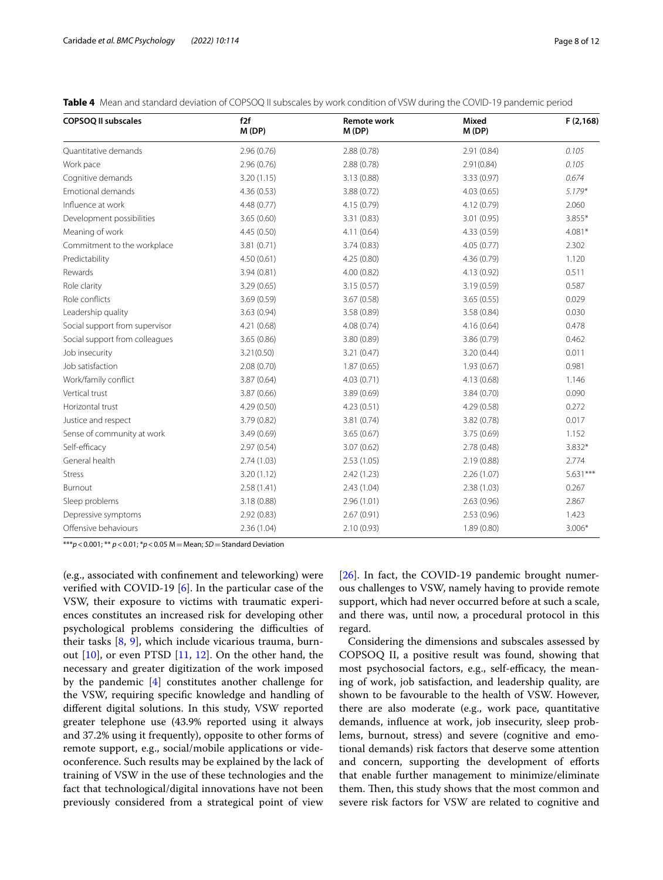<span id="page-7-0"></span>

| <b>Table 4</b> Mean and standard deviation of COPSOQ II subscales by work condition of VSW during the COVID-19 pandemic period |  |  |  |
|--------------------------------------------------------------------------------------------------------------------------------|--|--|--|
|--------------------------------------------------------------------------------------------------------------------------------|--|--|--|

| <b>COPSOQ II subscales</b>     | f2f<br>M(DP) | <b>Remote work</b><br>M(DP) | <b>Mixed</b><br>M(DP) | F(2, 168)  |
|--------------------------------|--------------|-----------------------------|-----------------------|------------|
| Quantitative demands           | 2.96(0.76)   | 2.88 (0.78)                 | 2.91 (0.84)           | 0.105      |
| Work pace                      | 2.96(0.76)   | 2.88(0.78)                  | 2.91(0.84)            | 0.105      |
| Cognitive demands              | 3.20(1.15)   | 3.13(0.88)                  | 3.33(0.97)            | 0.674      |
| Emotional demands              | 4.36(0.53)   | 3.88(0.72)                  | 4.03(0.65)            | $5.179*$   |
| Influence at work              | 4.48 (0.77)  | 4.15(0.79)                  | 4.12 (0.79)           | 2.060      |
| Development possibilities      | 3.65(0.60)   | 3.31(0.83)                  | 3.01(0.95)            | 3.855*     |
| Meaning of work                | 4.45(0.50)   | 4.11(0.64)                  | 4.33 (0.59)           | $4.081*$   |
| Commitment to the workplace    | 3.81(0.71)   | 3.74(0.83)                  | 4.05(0.77)            | 2.302      |
| Predictability                 | 4.50(0.61)   | 4.25(0.80)                  | 4.36 (0.79)           | 1.120      |
| Rewards                        | 3.94(0.81)   | 4.00(0.82)                  | 4.13 (0.92)           | 0.511      |
| Role clarity                   | 3.29(0.65)   | 3.15(0.57)                  | 3.19(0.59)            | 0.587      |
| Role conflicts                 | 3.69(0.59)   | 3.67(0.58)                  | 3.65(0.55)            | 0.029      |
| Leadership quality             | 3.63(0.94)   | 3.58 (0.89)                 | 3.58(0.84)            | 0.030      |
| Social support from supervisor | 4.21(0.68)   | 4.08(0.74)                  | 4.16(0.64)            | 0.478      |
| Social support from colleagues | 3.65(0.86)   | 3.80 (0.89)                 | 3.86 (0.79)           | 0.462      |
| Job insecurity                 | 3.21(0.50)   | 3.21(0.47)                  | 3.20(0.44)            | 0.011      |
| Job satisfaction               | 2.08(0.70)   | 1.87(0.65)                  | 1.93(0.67)            | 0.981      |
| Work/family conflict           | 3.87 (0.64)  | 4.03 (0.71)                 | 4.13 (0.68)           | 1.146      |
| Vertical trust                 | 3.87(0.66)   | 3.89(0.69)                  | 3.84(0.70)            | 0.090      |
| Horizontal trust               | 4.29(0.50)   | 4.23(0.51)                  | 4.29(0.58)            | 0.272      |
| Justice and respect            | 3.79 (0.82)  | 3.81 (0.74)                 | 3.82 (0.78)           | 0.017      |
| Sense of community at work     | 3.49(0.69)   | 3.65(0.67)                  | 3.75(0.69)            | 1.152      |
| Self-efficacy                  | 2.97(0.54)   | 3.07(0.62)                  | 2.78(0.48)            | 3.832*     |
| General health                 | 2.74(1.03)   | 2.53(1.05)                  | 2.19(0.88)            | 2.774      |
| <b>Stress</b>                  | 3.20(1.12)   | 2.42(1.23)                  | 2.26(1.07)            | $5.631***$ |
| Burnout                        | 2.58(1.41)   | 2.43(1.04)                  | 2.38(1.03)            | 0.267      |
| Sleep problems                 | 3.18 (0.88)  | 2.96(1.01)                  | 2.63(0.96)            | 2.867      |
| Depressive symptoms            | 2.92(0.83)   | 2.67(0.91)                  | 2.53(0.96)            | 1.423      |
| Offensive behaviours           | 2.36(1.04)   | 2.10(0.93)                  | 1.89(0.80)            | $3.006*$   |

\*\*\**p*<0.001; \*\* *p*<0.01; \**p*<0.05 M=Mean; *SD*=Standard Deviation

(e.g., associated with confnement and teleworking) were verifed with COVID-19 [[6\]](#page-10-21). In the particular case of the VSW, their exposure to victims with traumatic experiences constitutes an increased risk for developing other psychological problems considering the difficulties of their tasks [\[8](#page-10-6), [9\]](#page-10-7), which include vicarious trauma, burnout [[10\]](#page-10-8), or even PTSD [\[11](#page-10-9), [12](#page-10-10)]. On the other hand, the necessary and greater digitization of the work imposed by the pandemic [[4\]](#page-10-3) constitutes another challenge for the VSW, requiring specifc knowledge and handling of diferent digital solutions. In this study, VSW reported greater telephone use (43.9% reported using it always and 37.2% using it frequently), opposite to other forms of remote support, e.g., social/mobile applications or videoconference. Such results may be explained by the lack of training of VSW in the use of these technologies and the fact that technological/digital innovations have not been previously considered from a strategical point of view [[26\]](#page-10-24). In fact, the COVID-19 pandemic brought numerous challenges to VSW, namely having to provide remote support, which had never occurred before at such a scale, and there was, until now, a procedural protocol in this regard.

Considering the dimensions and subscales assessed by COPSOQ II, a positive result was found, showing that most psychosocial factors, e.g., self-efficacy, the meaning of work, job satisfaction, and leadership quality, are shown to be favourable to the health of VSW. However, there are also moderate (e.g., work pace, quantitative demands, infuence at work, job insecurity, sleep problems, burnout, stress) and severe (cognitive and emotional demands) risk factors that deserve some attention and concern, supporting the development of eforts that enable further management to minimize/eliminate them. Then, this study shows that the most common and severe risk factors for VSW are related to cognitive and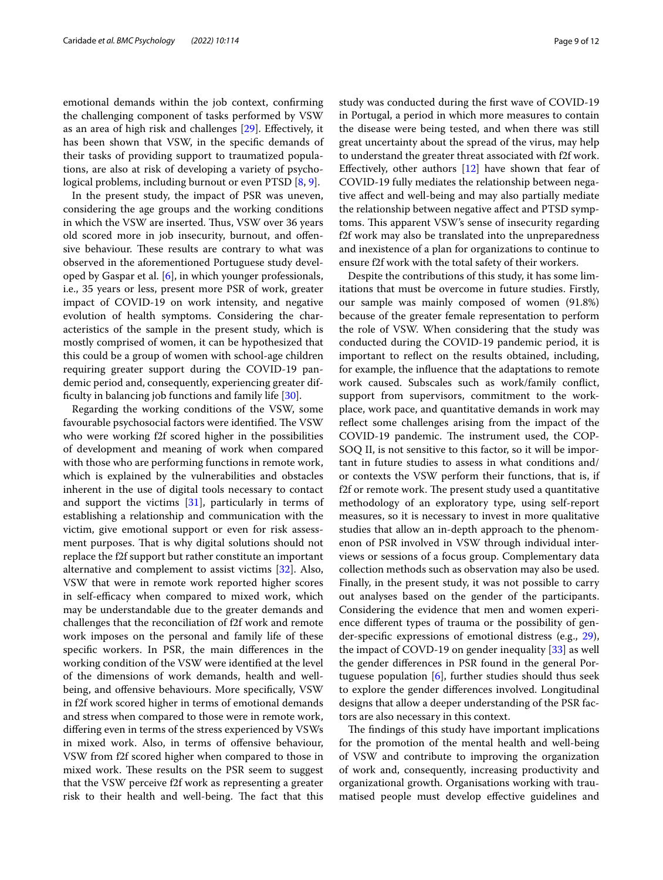emotional demands within the job context, confrming the challenging component of tasks performed by VSW as an area of high risk and challenges [\[29](#page-11-3)]. Efectively, it has been shown that VSW, in the specifc demands of their tasks of providing support to traumatized populations, are also at risk of developing a variety of psychological problems, including burnout or even PTSD [[8,](#page-10-6) [9](#page-10-7)].

In the present study, the impact of PSR was uneven, considering the age groups and the working conditions in which the VSW are inserted. Thus, VSW over 36 years old scored more in job insecurity, burnout, and ofensive behaviour. These results are contrary to what was observed in the aforementioned Portuguese study developed by Gaspar et al. [[6](#page-10-21)], in which younger professionals, i.e., 35 years or less, present more PSR of work, greater impact of COVID-19 on work intensity, and negative evolution of health symptoms. Considering the characteristics of the sample in the present study, which is mostly comprised of women, it can be hypothesized that this could be a group of women with school-age children requiring greater support during the COVID-19 pandemic period and, consequently, experiencing greater diffculty in balancing job functions and family life [[30\]](#page-11-4).

Regarding the working conditions of the VSW, some favourable psychosocial factors were identified. The VSW who were working f2f scored higher in the possibilities of development and meaning of work when compared with those who are performing functions in remote work, which is explained by the vulnerabilities and obstacles inherent in the use of digital tools necessary to contact and support the victims [\[31](#page-11-2)], particularly in terms of establishing a relationship and communication with the victim, give emotional support or even for risk assessment purposes. That is why digital solutions should not replace the f2f support but rather constitute an important alternative and complement to assist victims [[32\]](#page-11-5). Also, VSW that were in remote work reported higher scores in self-efficacy when compared to mixed work, which may be understandable due to the greater demands and challenges that the reconciliation of f2f work and remote work imposes on the personal and family life of these specifc workers. In PSR, the main diferences in the working condition of the VSW were identifed at the level of the dimensions of work demands, health and wellbeing, and offensive behaviours. More specifically, VSW in f2f work scored higher in terms of emotional demands and stress when compared to those were in remote work, difering even in terms of the stress experienced by VSWs in mixed work. Also, in terms of ofensive behaviour, VSW from f2f scored higher when compared to those in mixed work. These results on the PSR seem to suggest that the VSW perceive f2f work as representing a greater risk to their health and well-being. The fact that this

study was conducted during the frst wave of COVID-19 in Portugal, a period in which more measures to contain the disease were being tested, and when there was still great uncertainty about the spread of the virus, may help to understand the greater threat associated with f2f work. Effectively, other authors  $[12]$  $[12]$  have shown that fear of COVID-19 fully mediates the relationship between negative afect and well-being and may also partially mediate the relationship between negative afect and PTSD symptoms. This apparent VSW's sense of insecurity regarding f2f work may also be translated into the unpreparedness and inexistence of a plan for organizations to continue to ensure f2f work with the total safety of their workers.

Despite the contributions of this study, it has some limitations that must be overcome in future studies. Firstly, our sample was mainly composed of women (91.8%) because of the greater female representation to perform the role of VSW. When considering that the study was conducted during the COVID-19 pandemic period, it is important to refect on the results obtained, including, for example, the infuence that the adaptations to remote work caused. Subscales such as work/family confict, support from supervisors, commitment to the workplace, work pace, and quantitative demands in work may refect some challenges arising from the impact of the COVID-19 pandemic. The instrument used, the COP-SOQ II, is not sensitive to this factor, so it will be important in future studies to assess in what conditions and/ or contexts the VSW perform their functions, that is, if f2f or remote work. The present study used a quantitative methodology of an exploratory type, using self-report measures, so it is necessary to invest in more qualitative studies that allow an in-depth approach to the phenomenon of PSR involved in VSW through individual interviews or sessions of a focus group. Complementary data collection methods such as observation may also be used. Finally, in the present study, it was not possible to carry out analyses based on the gender of the participants. Considering the evidence that men and women experience diferent types of trauma or the possibility of gender-specifc expressions of emotional distress (e.g., [29](#page-11-3)), the impact of COVD-19 on gender inequality [[33\]](#page-11-6) as well the gender diferences in PSR found in the general Portuguese population  $[6]$  $[6]$ , further studies should thus seek to explore the gender diferences involved. Longitudinal designs that allow a deeper understanding of the PSR factors are also necessary in this context.

The findings of this study have important implications for the promotion of the mental health and well-being of VSW and contribute to improving the organization of work and, consequently, increasing productivity and organizational growth. Organisations working with traumatised people must develop efective guidelines and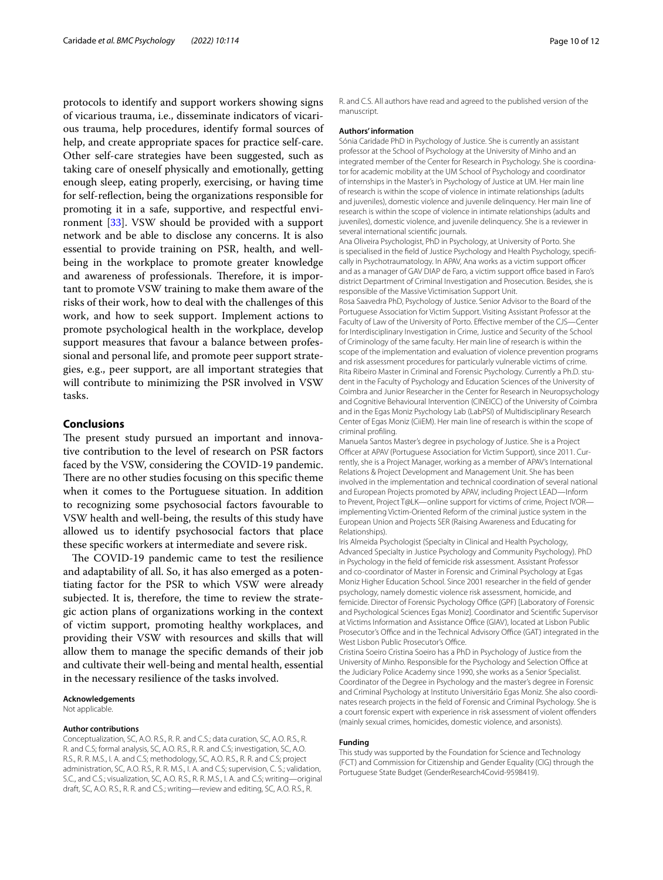protocols to identify and support workers showing signs of vicarious trauma, i.e., disseminate indicators of vicarious trauma, help procedures, identify formal sources of help, and create appropriate spaces for practice self-care. Other self-care strategies have been suggested, such as taking care of oneself physically and emotionally, getting enough sleep, eating properly, exercising, or having time for self-refection, being the organizations responsible for promoting it in a safe, supportive, and respectful environment [\[33](#page-11-6)]. VSW should be provided with a support network and be able to disclose any concerns. It is also essential to provide training on PSR, health, and wellbeing in the workplace to promote greater knowledge and awareness of professionals. Therefore, it is important to promote VSW training to make them aware of the risks of their work, how to deal with the challenges of this work, and how to seek support. Implement actions to promote psychological health in the workplace, develop support measures that favour a balance between professional and personal life, and promote peer support strategies, e.g., peer support, are all important strategies that will contribute to minimizing the PSR involved in VSW tasks.

# **Conclusions**

The present study pursued an important and innovative contribution to the level of research on PSR factors faced by the VSW, considering the COVID-19 pandemic. There are no other studies focusing on this specific theme when it comes to the Portuguese situation. In addition to recognizing some psychosocial factors favourable to VSW health and well-being, the results of this study have allowed us to identify psychosocial factors that place these specifc workers at intermediate and severe risk.

The COVID-19 pandemic came to test the resilience and adaptability of all. So, it has also emerged as a potentiating factor for the PSR to which VSW were already subjected. It is, therefore, the time to review the strategic action plans of organizations working in the context of victim support, promoting healthy workplaces, and providing their VSW with resources and skills that will allow them to manage the specifc demands of their job and cultivate their well-being and mental health, essential in the necessary resilience of the tasks involved.

**Acknowledgements**

Not applicable.

#### **Author contributions**

Conceptualization, SC, A.O. R.S., R. R. and C.S.; data curation, SC, A.O. R.S., R. R. and C.S; formal analysis, SC, A.O. R.S., R. R. and C.S; investigation, SC, A.O. R.S., R. R. M.S., I. A. and C.S; methodology, SC, A.O. R.S., R. R. and C.S; project administration, SC, A.O. R.S., R. R. M.S., I. A. and C.S; supervision, C. S.; validation, S.C., and C.S.; visualization, SC, A.O. R.S., R. R. M.S., I. A. and C.S; writing—original draft, SC, A.O. R.S., R. R. and C.S.; writing—review and editing, SC, A.O. R.S., R.

R. and C.S. All authors have read and agreed to the published version of the manuscript.

## **Authors' information**

Sónia Caridade PhD in Psychology of Justice. She is currently an assistant professor at the School of Psychology at the University of Minho and an integrated member of the Center for Research in Psychology. She is coordinator for academic mobility at the UM School of Psychology and coordinator of internships in the Master's in Psychology of Justice at UM. Her main line of research is within the scope of violence in intimate relationships (adults and juveniles), domestic violence and juvenile delinquency. Her main line of research is within the scope of violence in intimate relationships (adults and juveniles), domestic violence, and juvenile delinquency. She is a reviewer in several international scientifc journals.

Ana Oliveira Psychologist, PhD in Psychology, at University of Porto. She is specialised in the feld of Justice Psychology and Health Psychology, specifcally in Psychotraumatology. In APAV, Ana works as a victim support officer and as a manager of GAV DIAP de Faro, a victim support office based in Faro's district Department of Criminal Investigation and Prosecution. Besides, she is responsible of the Massive Victimisation Support Unit.

Rosa Saavedra PhD, Psychology of Justice. Senior Advisor to the Board of the Portuguese Association for Victim Support. Visiting Assistant Professor at the Faculty of Law of the University of Porto. Efective member of the CJS—Center for Interdisciplinary Investigation in Crime, Justice and Security of the School of Criminology of the same faculty. Her main line of research is within the scope of the implementation and evaluation of violence prevention programs and risk assessment procedures for particularly vulnerable victims of crime. Rita Ribeiro Master in Criminal and Forensic Psychology. Currently a Ph.D. student in the Faculty of Psychology and Education Sciences of the University of Coimbra and Junior Researcher in the Center for Research in Neuropsychology and Cognitive Behavioural Intervention (CINEICC) of the University of Coimbra and in the Egas Moniz Psychology Lab (LabPSI) of Multidisciplinary Research Center of Egas Moniz (CiiEM). Her main line of research is within the scope of criminal profling.

Manuela Santos Master's degree in psychology of Justice. She is a Project Officer at APAV (Portuguese Association for Victim Support), since 2011. Currently, she is a Project Manager, working as a member of APAV's International Relations & Project Development and Management Unit. She has been involved in the implementation and technical coordination of several national and European Projects promoted by APAV, including Project LEAD—Inform to Prevent, Project T@LK—online support for victims of crime, Project IVOR implementing Victim-Oriented Reform of the criminal justice system in the European Union and Projects SER (Raising Awareness and Educating for Relationships).

Iris Almeida Psychologist (Specialty in Clinical and Health Psychology, Advanced Specialty in Justice Psychology and Community Psychology). PhD in Psychology in the feld of femicide risk assessment. Assistant Professor and co-coordinator of Master in Forensic and Criminal Psychology at Egas Moniz Higher Education School. Since 2001 researcher in the feld of gender psychology, namely domestic violence risk assessment, homicide, and femicide. Director of Forensic Psychology Office (GPF) [Laboratory of Forensic and Psychological Sciences Egas Moniz]. Coordinator and Scientifc Supervisor at Victims Information and Assistance Office (GIAV), located at Lisbon Public Prosecutor's Office and in the Technical Advisory Office (GAT) integrated in the West Lisbon Public Prosecutor's Office.

Cristina Soeiro Cristina Soeiro has a PhD in Psychology of Justice from the University of Minho. Responsible for the Psychology and Selection Office at the Judiciary Police Academy since 1990, she works as a Senior Specialist. Coordinator of the Degree in Psychology and the master's degree in Forensic and Criminal Psychology at Instituto Universitário Egas Moniz. She also coordinates research projects in the feld of Forensic and Criminal Psychology. She is a court forensic expert with experience in risk assessment of violent ofenders (mainly sexual crimes, homicides, domestic violence, and arsonists).

# **Funding**

This study was supported by the Foundation for Science and Technology (FCT) and Commission for Citizenship and Gender Equality (CIG) through the Portuguese State Budget (GenderResearch4Covid-9598419).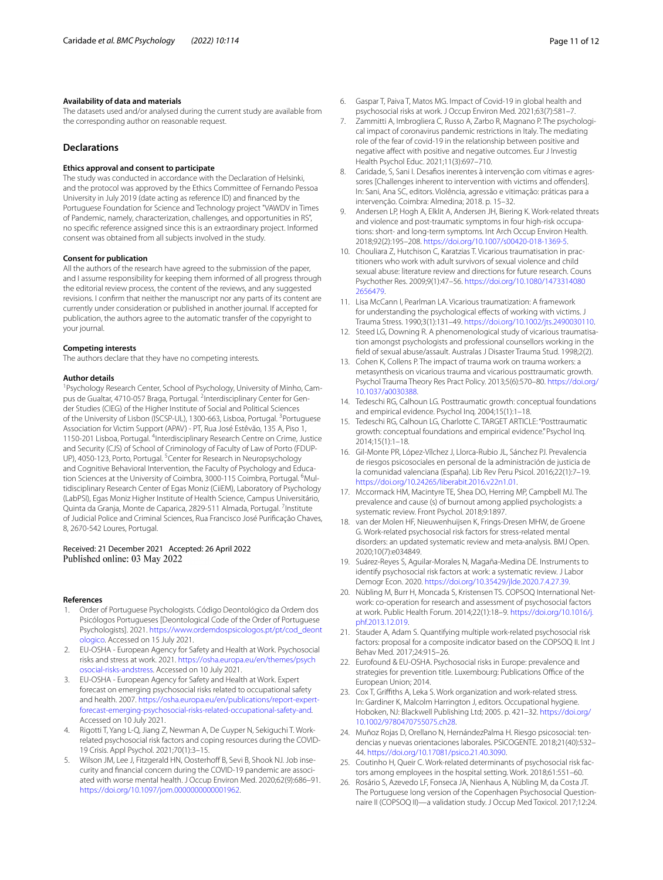# **Availability of data and materials**

The datasets used and/or analysed during the current study are available from the corresponding author on reasonable request.

# **Declarations**

## **Ethics approval and consent to participate**

The study was conducted in accordance with the Declaration of Helsinki, and the protocol was approved by the Ethics Committee of Fernando Pessoa University in July 2019 (date acting as reference ID) and fnanced by the Portuguese Foundation for Science and Technology project "VAWDV in Times of Pandemic, namely, characterization, challenges, and opportunities in RS", no specifc reference assigned since this is an extraordinary project. Informed consent was obtained from all subjects involved in the study.

#### **Consent for publication**

All the authors of the research have agreed to the submission of the paper, and I assume responsibility for keeping them informed of all progress through the editorial review process, the content of the reviews, and any suggested revisions. I confrm that neither the manuscript nor any parts of its content are currently under consideration or published in another journal. If accepted for publication, the authors agree to the automatic transfer of the copyright to your journal.

#### **Competing interests**

The authors declare that they have no competing interests.

#### **Author details**

<sup>1</sup> Psychology Research Center, School of Psychology, University of Minho, Campus de Gualtar, 4710-057 Braga, Portugal. <sup>2</sup>Interdisciplinary Center for Gender Studies (CIEG) of the Higher Institute of Social and Political Sciences of the University of Lisbon (ISCSP-UL), 1300-663, Lisboa, Portugal. <sup>3</sup>Portuguese Association for Victim Support (APAV) - PT, Rua José Estêvão, 135 A, Piso 1, 1150-201 Lisboa, Portugal. <sup>4</sup>Interdisciplinary Research Centre on Crime, Justice and Security (CJS) of School of Criminology of Faculty of Law of Porto (FDUP-UP), 4050-123, Porto, Portugal. <sup>5</sup> Center for Research in Neuropsychology and Cognitive Behavioral Intervention, the Faculty of Psychology and Education Sciences at the University of Coimbra, 3000-115 Coimbra, Portugal. <sup>6</sup>Multidisciplinary Research Center of Egas Moniz (CiiEM), Laboratory of Psychology (LabPSI), Egas Moniz Higher Institute of Health Science, Campus Universitário, Quinta da Granja, Monte de Caparica, 2829-511 Almada, Portugal. <sup>7</sup>Institute of Judicial Police and Criminal Sciences, Rua Francisco José Purifcação Chaves, 8, 2670-542 Loures, Portugal.

# Received: 21 December 2021 Accepted: 26 April 2022 Published online: 03 May 2022

#### **References**

- <span id="page-10-0"></span>1. Order of Portuguese Psychologists. Código Deontológico da Ordem dos Psicólogos Portugueses [Deontological Code of the Order of Portuguese Psychologists]. 2021. [https://www.ordemdospsicologos.pt/pt/cod\\_deont](https://www.ordemdospsicologos.pt/pt/cod_deontologico) [ologico](https://www.ordemdospsicologos.pt/pt/cod_deontologico). Accessed on 15 July 2021.
- <span id="page-10-1"></span>2. EU-OSHA - European Agency for Safety and Health at Work. Psychosocial risks and stress at work. 2021. [https://osha.europa.eu/en/themes/psych](https://osha.europa.eu/en/themes/psychosocial-risks-andstress) [osocial-risks-andstress](https://osha.europa.eu/en/themes/psychosocial-risks-andstress). Accessed on 10 July 2021.
- <span id="page-10-2"></span>3. EU-OSHA - European Agency for Safety and Health at Work. Expert forecast on emerging psychosocial risks related to occupational safety and health. 2007. [https://osha.europa.eu/en/publications/report-expert](https://osha.europa.eu/en/publications/report-expert-forecast-emerging-psychosocial-risks-related-occupational-safety-and)[forecast-emerging-psychosocial-risks-related-occupational-safety-and.](https://osha.europa.eu/en/publications/report-expert-forecast-emerging-psychosocial-risks-related-occupational-safety-and) Accessed on 10 July 2021.
- <span id="page-10-3"></span>4. Rigotti T, Yang L-Q, Jiang Z, Newman A, De Cuyper N, Sekiguchi T. Workrelated psychosocial risk factors and coping resources during the COVID-19 Crisis. Appl Psychol. 2021;70(1):3–15.
- <span id="page-10-4"></span>5. Wilson JM, Lee J, Fitzgerald HN, Oosterhoff B, Sevi B, Shook NJ. Job insecurity and fnancial concern during the COVID-19 pandemic are associated with worse mental health. J Occup Environ Med. 2020;62(9):686–91. <https://doi.org/10.1097/jom.0000000000001962>.
- <span id="page-10-21"></span>6. Gaspar T, Paiva T, Matos MG. Impact of Covid-19 in global health and psychosocial risks at work. J Occup Environ Med. 2021;63(7):581–7.
- <span id="page-10-5"></span>7. Zammitti A, Imbrogliera C, Russo A, Zarbo R, Magnano P. The psychological impact of coronavirus pandemic restrictions in Italy. The mediating role of the fear of covid-19 in the relationship between positive and negative afect with positive and negative outcomes. Eur J Investig Health Psychol Educ. 2021;11(3):697–710.
- <span id="page-10-6"></span>8. Caridade, S, Sani I. Desafos inerentes à intervenção com vítimas e agressores [Challenges inherent to intervention with victims and offenders]. In: Sani, Ana SC, editors. Violência, agressão e vitimação: práticas para a intervenção. Coimbra: Almedina; 2018. p. 15–32.
- <span id="page-10-7"></span>9. Andersen LP, Hogh A, Elklit A, Andersen JH, Biering K. Work-related threats and violence and post-traumatic symptoms in four high-risk occupations: short- and long-term symptoms. Int Arch Occup Environ Health. 2018;92(2):195–208. [https://doi.org/10.1007/s00420-018-1369-5.](https://doi.org/10.1007/s00420-018-1369-5)
- <span id="page-10-8"></span>10. Chouliara Z, Hutchison C, Karatzias T. Vicarious traumatisation in practitioners who work with adult survivors of sexual violence and child sexual abuse: literature review and directions for future research. Couns Psychother Res. 2009;9(1):47–56. [https://doi.org/10.1080/1473314080](https://doi.org/10.1080/14733140802656479) [2656479](https://doi.org/10.1080/14733140802656479).
- <span id="page-10-9"></span>11. Lisa McCann I, Pearlman LA. Vicarious traumatization: A framework for understanding the psychological efects of working with victims. J Trauma Stress. 1990;3(1):131–49. [https://doi.org/10.1002/jts.2490030110.](https://doi.org/10.1002/jts.2490030110)
- <span id="page-10-10"></span>12. Steed LG, Downing R. A phenomenological study of vicarious traumatisation amongst psychologists and professional counsellors working in the feld of sexual abuse/assault. Australas J Disaster Trauma Stud. 1998;2(2).
- <span id="page-10-11"></span>13. Cohen K, Collens P. The impact of trauma work on trauma workers: a metasynthesis on vicarious trauma and vicarious posttraumatic growth. Psychol Trauma Theory Res Pract Policy. 2013;5(6):570–80. [https://doi.org/](https://doi.org/10.1037/a0030388) [10.1037/a0030388.](https://doi.org/10.1037/a0030388)
- <span id="page-10-12"></span>14. Tedeschi RG, Calhoun LG. Posttraumatic growth: conceptual foundations and empirical evidence. Psychol Inq. 2004;15(1):1–18.
- <span id="page-10-13"></span>15. Tedeschi RG, Calhoun LG, Charlotte C. TARGET ARTICLE: "Posttraumatic growth: conceptual foundations and empirical evidence." Psychol Inq. 2014;15(1):1–18.
- <span id="page-10-14"></span>16. Gil-Monte PR, López-Vílchez J, Llorca-Rubio JL, Sánchez PJ. Prevalencia de riesgos psicosociales en personal de la administración de justicia de la comunidad valenciana (España). Lib Rev Peru Psicol. 2016;22(1):7–19. <https://doi.org/10.24265/liberabit.2016.v22n1.01>.
- <span id="page-10-15"></span>17. Mccormack HM, Macintyre TE, Shea DO, Herring MP, Campbell MJ. The prevalence and cause (s) of burnout among applied psychologists: a systematic review. Front Psychol. 2018;9:1897.
- <span id="page-10-18"></span>18. van der Molen HF, Nieuwenhuijsen K, Frings-Dresen MHW, de Groene G. Work-related psychosocial risk factors for stress-related mental disorders: an updated systematic review and meta-analysis. BMJ Open. 2020;10(7):e034849.
- <span id="page-10-17"></span>19. Suárez-Reyes S, Aguilar-Morales N, Magaña-Medina DE. Instruments to identify psychosocial risk factors at work: a systematic review. J Labor Demogr Econ. 2020. <https://doi.org/10.35429/jlde.2020.7.4.27.39>.
- <span id="page-10-16"></span>20. Nübling M, Burr H, Moncada S, Kristensen TS. COPSOQ International Network: co-operation for research and assessment of psychosocial factors at work. Public Health Forum. 2014;22(1):18–9. [https://doi.org/10.1016/j.](https://doi.org/10.1016/j.phf.2013.12.019) [phf.2013.12.019](https://doi.org/10.1016/j.phf.2013.12.019).
- <span id="page-10-19"></span>21. Stauder A, Adam S. Quantifying multiple work-related psychosocial risk factors: proposal for a composite indicator based on the COPSOQ II. Int J Behav Med. 2017;24:915–26.
- <span id="page-10-20"></span>22. Eurofound & EU-OSHA. Psychosocial risks in Europe: prevalence and strategies for prevention title. Luxembourg: Publications Office of the European Union; 2014.
- <span id="page-10-22"></span>23. Cox T, Grifths A, Leka S. Work organization and work-related stress. In: Gardiner K, Malcolm Harrington J, editors. Occupational hygiene. Hoboken, NJ: Blackwell Publishing Ltd; 2005. p. 421–32. [https://doi.org/](https://doi.org/10.1002/9780470755075.ch28) [10.1002/9780470755075.ch28](https://doi.org/10.1002/9780470755075.ch28).
- <span id="page-10-23"></span>24. Muñoz Rojas D, Orellano N, HernándezPalma H. Riesgo psicosocial: tendencias y nuevas orientaciones laborales. PSICOGENTE. 2018;21(40):532– 44.<https://doi.org/10.17081/psico.21.40.3090>.
- <span id="page-10-25"></span>25. Coutinho H, Queir C. Work-related determinants of psychosocial risk factors among employees in the hospital setting. Work. 2018;61:551–60.
- <span id="page-10-24"></span>26. Rosário S, Azevedo LF, Fonseca JA, Nienhaus A, Nübling M, da Costa JT. The Portuguese long version of the Copenhagen Psychosocial Questionnaire II (COPSOQ II)—a validation study. J Occup Med Toxicol. 2017;12:24.